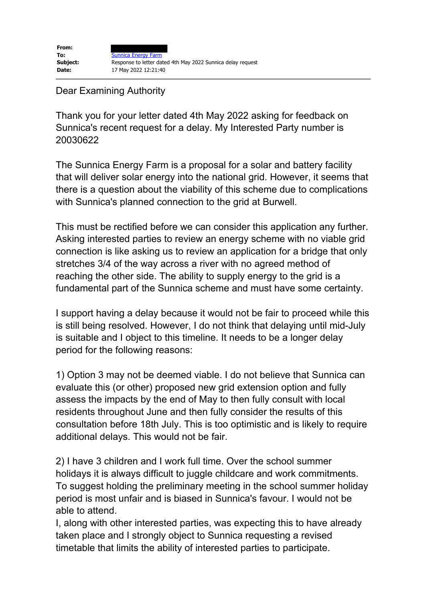## Dear Examining Authority

Thank you for your letter dated 4th May 2022 asking for feedback on Sunnica's recent request for a delay. My Interested Party number is 20030622

The Sunnica Energy Farm is a proposal for a solar and battery facility that will deliver solar energy into the national grid. However, it seems that there is a question about the viability of this scheme due to complications with Sunnica's planned connection to the grid at Burwell.

This must be rectified before we can consider this application any further. Asking interested parties to review an energy scheme with no viable grid connection is like asking us to review an application for a bridge that only stretches 3/4 of the way across a river with no agreed method of reaching the other side. The ability to supply energy to the grid is a fundamental part of the Sunnica scheme and must have some certainty.

I support having a delay because it would not be fair to proceed while this is still being resolved. However, I do not think that delaying until mid-July is suitable and I object to this timeline. It needs to be a longer delay period for the following reasons:

1) Option 3 may not be deemed viable. I do not believe that Sunnica can evaluate this (or other) proposed new grid extension option and fully assess the impacts by the end of May to then fully consult with local residents throughout June and then fully consider the results of this consultation before 18th July. This is too optimistic and is likely to require additional delays. This would not be fair.

2) I have 3 children and I work full time. Over the school summer holidays it is always difficult to juggle childcare and work commitments. To suggest holding the preliminary meeting in the school summer holiday period is most unfair and is biased in Sunnica's favour. I would not be able to attend.

I, along with other interested parties, was expecting this to have already taken place and I strongly object to Sunnica requesting a revised timetable that limits the ability of interested parties to participate.